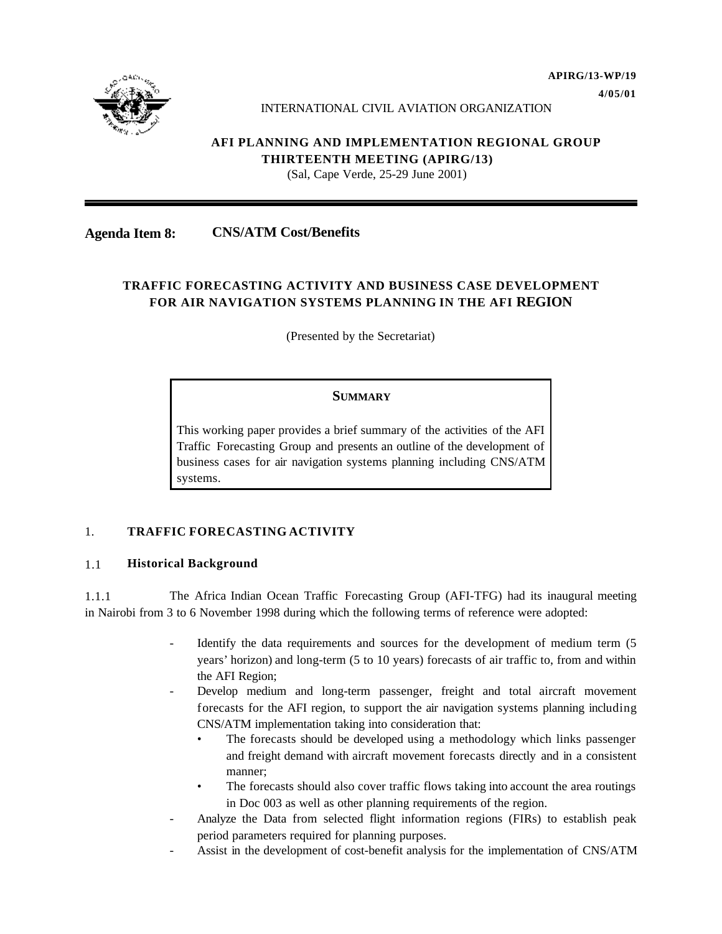

#### INTERNATIONAL CIVIL AVIATION ORGANIZATION

# **AFI PLANNING AND IMPLEMENTATION REGIONAL GROUP THIRTEENTH MEETING (APIRG/13)**

(Sal, Cape Verde, 25-29 June 2001)

## **Agenda Item 8: CNS/ATM Cost/Benefits**

# **TRAFFIC FORECASTING ACTIVITY AND BUSINESS CASE DEVELOPMENT FOR AIR NAVIGATION SYSTEMS PLANNING IN THE AFI REGION**

(Presented by the Secretariat)

#### **SUMMARY**

This working paper provides a brief summary of the activities of the AFI Traffic Forecasting Group and presents an outline of the development of business cases for air navigation systems planning including CNS/ATM systems.

## 1. **TRAFFIC FORECASTING ACTIVITY**

#### 1.1 **Historical Background**

1.1.1 The Africa Indian Ocean Traffic Forecasting Group (AFI-TFG) had its inaugural meeting in Nairobi from 3 to 6 November 1998 during which the following terms of reference were adopted:

- Identify the data requirements and sources for the development of medium term (5) years' horizon) and long-term (5 to 10 years) forecasts of air traffic to, from and within the AFI Region;
- Develop medium and long-term passenger, freight and total aircraft movement forecasts for the AFI region, to support the air navigation systems planning including CNS/ATM implementation taking into consideration that:
	- The forecasts should be developed using a methodology which links passenger and freight demand with aircraft movement forecasts directly and in a consistent manner;
	- The forecasts should also cover traffic flows taking into account the area routings in Doc 003 as well as other planning requirements of the region.
- Analyze the Data from selected flight information regions (FIRs) to establish peak period parameters required for planning purposes.
- Assist in the development of cost-benefit analysis for the implementation of CNS/ATM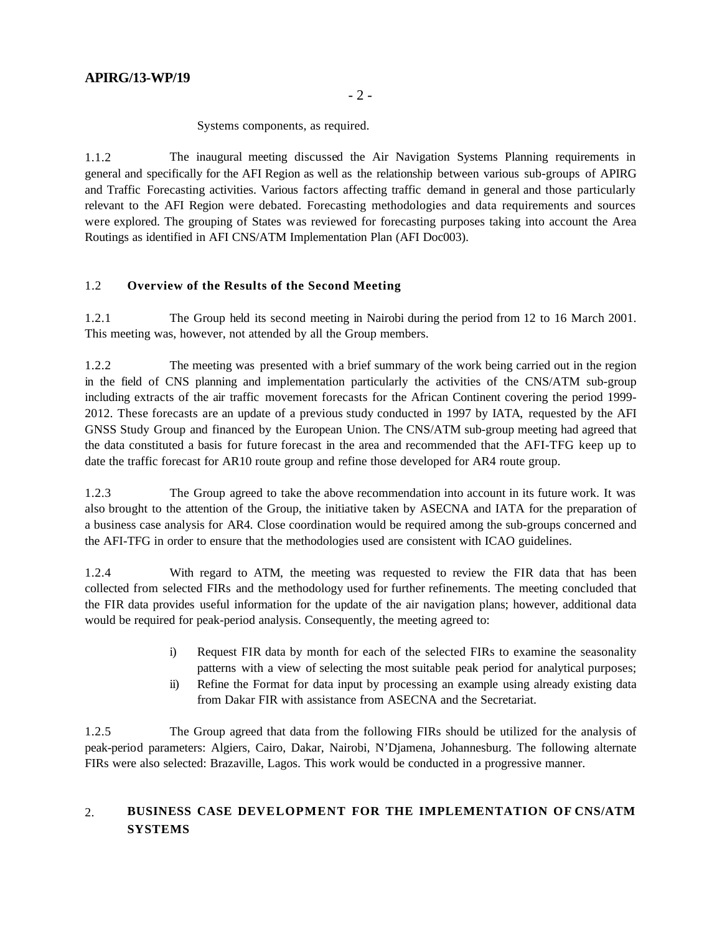Systems components, as required.

1.1.2 The inaugural meeting discussed the Air Navigation Systems Planning requirements in general and specifically for the AFI Region as well as the relationship between various sub-groups of APIRG and Traffic Forecasting activities. Various factors affecting traffic demand in general and those particularly relevant to the AFI Region were debated. Forecasting methodologies and data requirements and sources were explored. The grouping of States was reviewed for forecasting purposes taking into account the Area Routings as identified in AFI CNS/ATM Implementation Plan (AFI Doc003).

## 1.2 **Overview of the Results of the Second Meeting**

1.2.1 The Group held its second meeting in Nairobi during the period from 12 to 16 March 2001. This meeting was, however, not attended by all the Group members.

1.2.2 The meeting was presented with a brief summary of the work being carried out in the region in the field of CNS planning and implementation particularly the activities of the CNS/ATM sub-group including extracts of the air traffic movement forecasts for the African Continent covering the period 1999- 2012. These forecasts are an update of a previous study conducted in 1997 by IATA, requested by the AFI GNSS Study Group and financed by the European Union. The CNS/ATM sub-group meeting had agreed that the data constituted a basis for future forecast in the area and recommended that the AFI-TFG keep up to date the traffic forecast for AR10 route group and refine those developed for AR4 route group.

1.2.3 The Group agreed to take the above recommendation into account in its future work. It was also brought to the attention of the Group, the initiative taken by ASECNA and IATA for the preparation of a business case analysis for AR4. Close coordination would be required among the sub-groups concerned and the AFI-TFG in order to ensure that the methodologies used are consistent with ICAO guidelines.

1.2.4 With regard to ATM, the meeting was requested to review the FIR data that has been collected from selected FIRs and the methodology used for further refinements. The meeting concluded that the FIR data provides useful information for the update of the air navigation plans; however, additional data would be required for peak-period analysis. Consequently, the meeting agreed to:

- i) Request FIR data by month for each of the selected FIRs to examine the seasonality patterns with a view of selecting the most suitable peak period for analytical purposes;
- ii) Refine the Format for data input by processing an example using already existing data from Dakar FIR with assistance from ASECNA and the Secretariat.

1.2.5 The Group agreed that data from the following FIRs should be utilized for the analysis of peak-period parameters: Algiers, Cairo, Dakar, Nairobi, N'Djamena, Johannesburg. The following alternate FIRs were also selected: Brazaville, Lagos. This work would be conducted in a progressive manner.

# 2. **BUSINESS CASE DEVELOPMENT FOR THE IMPLEMENTATION OF CNS/ATM SYSTEMS**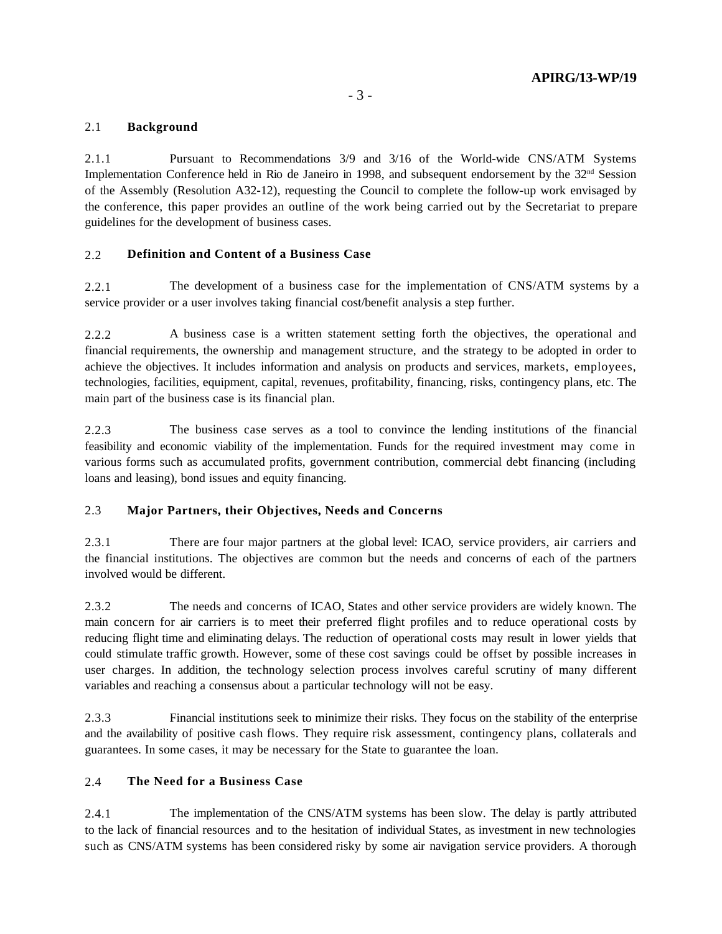## 2.1 **Background**

2.1.1 Pursuant to Recommendations 3/9 and 3/16 of the World-wide CNS/ATM Systems Implementation Conference held in Rio de Janeiro in 1998, and subsequent endorsement by the  $32<sup>nd</sup>$  Session of the Assembly (Resolution A32-12), requesting the Council to complete the follow-up work envisaged by the conference, this paper provides an outline of the work being carried out by the Secretariat to prepare guidelines for the development of business cases.

## 2.2 **Definition and Content of a Business Case**

2.2.1 The development of a business case for the implementation of CNS/ATM systems by a service provider or a user involves taking financial cost/benefit analysis a step further.

2.2.2 A business case is a written statement setting forth the objectives, the operational and financial requirements, the ownership and management structure, and the strategy to be adopted in order to achieve the objectives. It includes information and analysis on products and services, markets, employees, technologies, facilities, equipment, capital, revenues, profitability, financing, risks, contingency plans, etc. The main part of the business case is its financial plan.

2.2.3 The business case serves as a tool to convince the lending institutions of the financial feasibility and economic viability of the implementation. Funds for the required investment may come in various forms such as accumulated profits, government contribution, commercial debt financing (including loans and leasing), bond issues and equity financing.

## 2.3 **Major Partners, their Objectives, Needs and Concerns**

2.3.1 There are four major partners at the global level: ICAO, service providers, air carriers and the financial institutions. The objectives are common but the needs and concerns of each of the partners involved would be different.

2.3.2 The needs and concerns of ICAO, States and other service providers are widely known. The main concern for air carriers is to meet their preferred flight profiles and to reduce operational costs by reducing flight time and eliminating delays. The reduction of operational costs may result in lower yields that could stimulate traffic growth. However, some of these cost savings could be offset by possible increases in user charges. In addition, the technology selection process involves careful scrutiny of many different variables and reaching a consensus about a particular technology will not be easy.

2.3.3 Financial institutions seek to minimize their risks. They focus on the stability of the enterprise and the availability of positive cash flows. They require risk assessment, contingency plans, collaterals and guarantees. In some cases, it may be necessary for the State to guarantee the loan.

## 2.4 **The Need for a Business Case**

2.4.1 The implementation of the CNS/ATM systems has been slow. The delay is partly attributed to the lack of financial resources and to the hesitation of individual States, as investment in new technologies such as CNS/ATM systems has been considered risky by some air navigation service providers. A thorough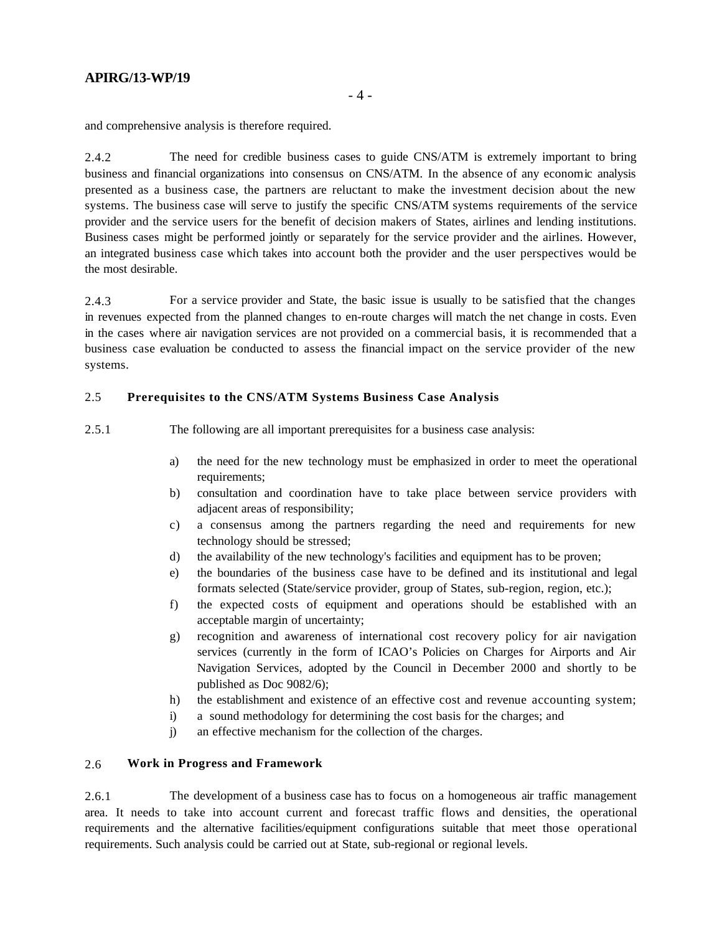# **APIRG/13-WP/19**

and comprehensive analysis is therefore required.

2.4.2 The need for credible business cases to guide CNS/ATM is extremely important to bring business and financial organizations into consensus on CNS/ATM. In the absence of any economic analysis presented as a business case, the partners are reluctant to make the investment decision about the new systems. The business case will serve to justify the specific CNS/ATM systems requirements of the service provider and the service users for the benefit of decision makers of States, airlines and lending institutions. Business cases might be performed jointly or separately for the service provider and the airlines. However, an integrated business case which takes into account both the provider and the user perspectives would be the most desirable.

2.4.3 For a service provider and State, the basic issue is usually to be satisfied that the changes in revenues expected from the planned changes to en-route charges will match the net change in costs. Even in the cases where air navigation services are not provided on a commercial basis, it is recommended that a business case evaluation be conducted to assess the financial impact on the service provider of the new systems.

#### 2.5 **Prerequisites to the CNS/ATM Systems Business Case Analysis**

2.5.1 The following are all important prerequisites for a business case analysis:

- a) the need for the new technology must be emphasized in order to meet the operational requirements:
- b) consultation and coordination have to take place between service providers with adjacent areas of responsibility;
- c) a consensus among the partners regarding the need and requirements for new technology should be stressed;
- d) the availability of the new technology's facilities and equipment has to be proven;
- e) the boundaries of the business case have to be defined and its institutional and legal formats selected (State/service provider, group of States, sub-region, region, etc.);
- f) the expected costs of equipment and operations should be established with an acceptable margin of uncertainty;
- g) recognition and awareness of international cost recovery policy for air navigation services (currently in the form of ICAO's Policies on Charges for Airports and Air Navigation Services, adopted by the Council in December 2000 and shortly to be published as Doc 9082/6);
- h) the establishment and existence of an effective cost and revenue accounting system;
- i) a sound methodology for determining the cost basis for the charges; and
- j) an effective mechanism for the collection of the charges.

#### 2.6 **Work in Progress and Framework**

2.6.1 The development of a business case has to focus on a homogeneous air traffic management area. It needs to take into account current and forecast traffic flows and densities, the operational requirements and the alternative facilities/equipment configurations suitable that meet those operational requirements. Such analysis could be carried out at State, sub-regional or regional levels.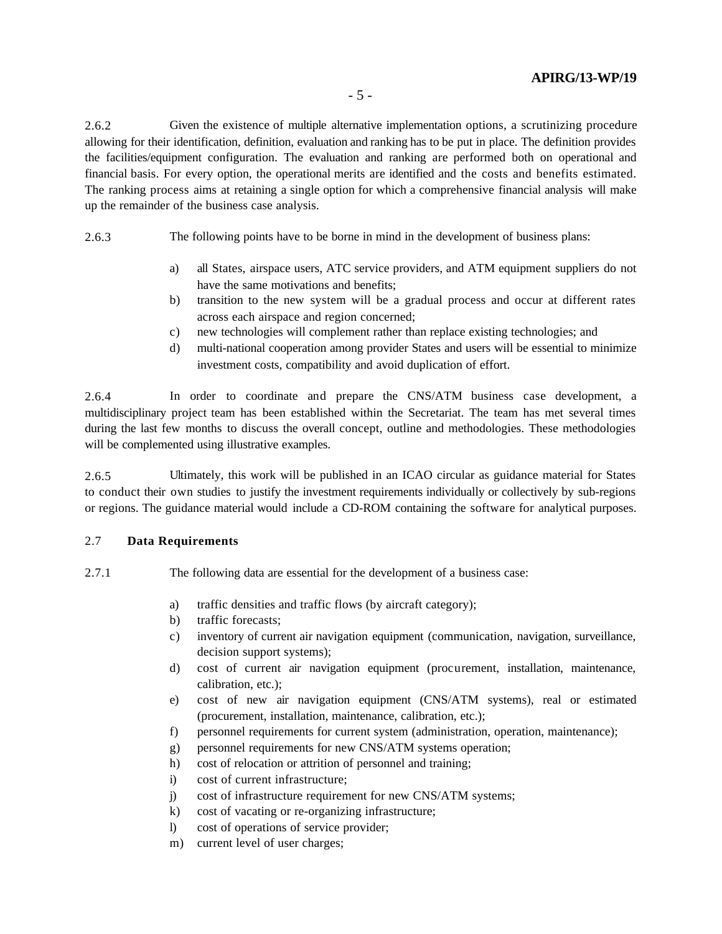### **APIRG/13-WP/19**

2.6.2 Given the existence of multiple alternative implementation options, a scrutinizing procedure allowing for their identification, definition, evaluation and ranking has to be put in place. The definition provides the facilities/equipment configuration. The evaluation and ranking are performed both on operational and financial basis. For every option, the operational merits are identified and the costs and benefits estimated. The ranking process aims at retaining a single option for which a comprehensive financial analysis will make up the remainder of the business case analysis.

2.6.3 The following points have to be borne in mind in the development of business plans:

- a) all States, airspace users, ATC service providers, and ATM equipment suppliers do not have the same motivations and benefits;
- b) transition to the new system will be a gradual process and occur at different rates across each airspace and region concerned;
- c) new technologies will complement rather than replace existing technologies; and
- d) multi-national cooperation among provider States and users will be essential to minimize investment costs, compatibility and avoid duplication of effort.

2.6.4 In order to coordinate and prepare the CNS/ATM business case development, a multidisciplinary project team has been established within the Secretariat. The team has met several times during the last few months to discuss the overall concept, outline and methodologies. These methodologies will be complemented using illustrative examples.

2.6.5 Ultimately, this work will be published in an ICAO circular as guidance material for States to conduct their own studies to justify the investment requirements individually or collectively by sub-regions or regions. The guidance material would include a CD-ROM containing the software for analytical purposes.

### 2.7 **Data Requirements**

2.7.1 The following data are essential for the development of a business case:

- a) traffic densities and traffic flows (by aircraft category);
- b) traffic forecasts;
- c) inventory of current air navigation equipment (communication, navigation, surveillance, decision support systems);
- d) cost of current air navigation equipment (procurement, installation, maintenance, calibration, etc.);
- e) cost of new air navigation equipment (CNS/ATM systems), real or estimated (procurement, installation, maintenance, calibration, etc.);
- f) personnel requirements for current system (administration, operation, maintenance);
- g) personnel requirements for new CNS/ATM systems operation;
- h) cost of relocation or attrition of personnel and training;
- i) cost of current infrastructure;
- j) cost of infrastructure requirement for new CNS/ATM systems;
- k) cost of vacating or re-organizing infrastructure;
- l) cost of operations of service provider;
- m) current level of user charges;